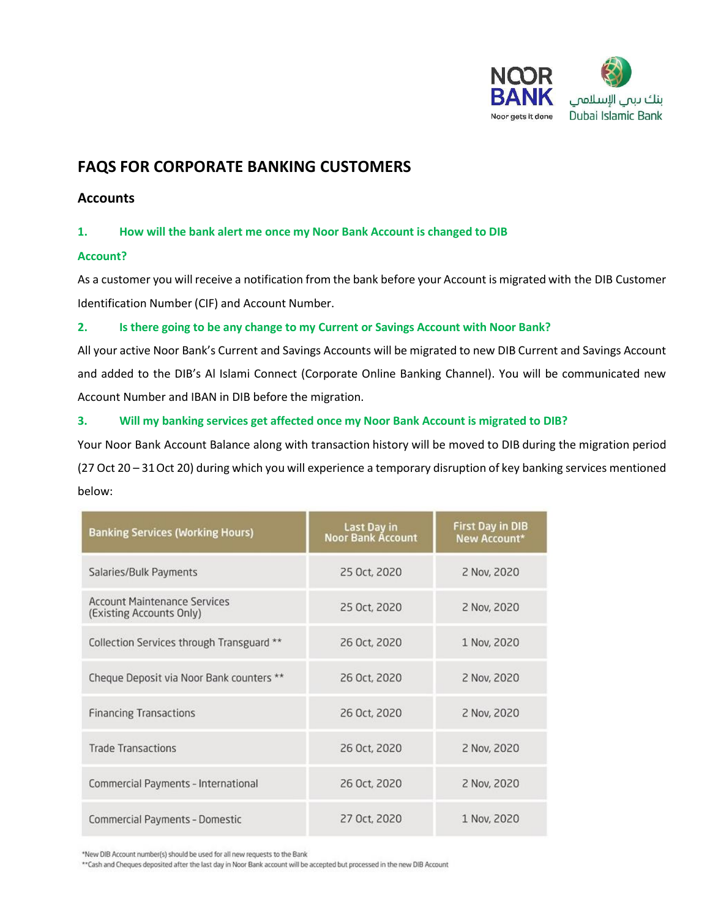

# **FAQS FOR CORPORATE BANKING CUSTOMERS**

# **Accounts**

## **1. How will the bank alert me once my Noor Bank Account is changed to DIB**

## **Account?**

As a customer you will receive a notification from the bank before your Account is migrated with the DIB Customer Identification Number (CIF) and Account Number.

## **2. Is there going to be any change to my Current or Savings Account with Noor Bank?**

All your active Noor Bank's Current and Savings Accounts will be migrated to new DIB Current and Savings Account and added to the DIB's Al Islami Connect (Corporate Online Banking Channel). You will be communicated new Account Number and IBAN in DIB before the migration.

## **3. Will my banking services get affected once my Noor Bank Account is migrated to DIB?**

Your Noor Bank Account Balance along with transaction history will be moved to DIB during the migration period (27 Oct 20 – 31Oct 20) during which you will experience a temporary disruption of key banking services mentioned below:

| <b>Banking Services (Working Hours)</b>                         | Last Day in<br>Noor Bank Account | <b>First Day in DIB</b><br>New Account* |
|-----------------------------------------------------------------|----------------------------------|-----------------------------------------|
| Salaries/Bulk Payments                                          | 25 Oct, 2020                     | 2 Nov, 2020                             |
| <b>Account Maintenance Services</b><br>(Existing Accounts Only) | 25 Oct, 2020                     | 2 Nov, 2020                             |
| Collection Services through Transguard **                       | 26 Oct, 2020                     | 1 Nov, 2020                             |
| Cheque Deposit via Noor Bank counters **                        | 26 Oct. 2020                     | 2 Nov, 2020                             |
| <b>Financing Transactions</b>                                   | 26 Oct, 2020                     | 2 Nov, 2020                             |
| <b>Trade Transactions</b>                                       | 26 Oct, 2020                     | 2 Nov, 2020                             |
| Commercial Payments - International                             | 26 Oct, 2020                     | 2 Nov, 2020                             |
| <b>Commercial Payments - Domestic</b>                           | 27 Oct, 2020                     | 1 Nov, 2020                             |

\*New DIB Account number(s) should be used for all new requests to the Bank

\*\* Cash and Cheques deposited after the last day in Noor Bank account will be accepted but processed in the new DIB Account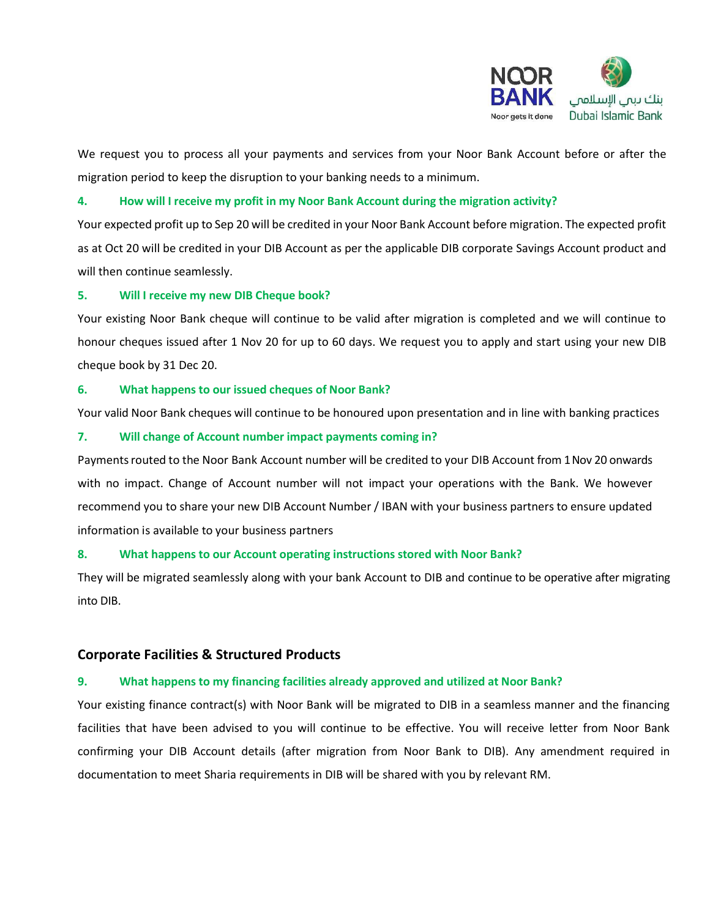

We request you to process all your payments and services from your Noor Bank Account before or after the migration period to keep the disruption to your banking needs to a minimum.

## **4. How will I receive my profit in my Noor Bank Account during the migration activity?**

Your expected profit up to Sep 20 will be credited in your Noor Bank Account before migration. The expected profit as at Oct 20 will be credited in your DIB Account as per the applicable DIB corporate Savings Account product and will then continue seamlessly.

## **5. Will I receive my new DIB Cheque book?**

Your existing Noor Bank cheque will continue to be valid after migration is completed and we will continue to honour cheques issued after 1 Nov 20 for up to 60 days. We request you to apply and start using your new DIB cheque book by 31 Dec 20.

#### **6. What happens to our issued cheques of Noor Bank?**

Your valid Noor Bank cheques will continue to be honoured upon presentation and in line with banking practices

#### **7. Will change of Account number impact payments coming in?**

Payments routed to the Noor Bank Account number will be credited to your DIB Account from 1 Nov 20 onwards with no impact. Change of Account number will not impact your operations with the Bank. We however recommend you to share your new DIB Account Number / IBAN with your business partners to ensure updated information is available to your business partners

## **8. What happens to our Account operating instructions stored with Noor Bank?**

They will be migrated seamlessly along with your bank Account to DIB and continue to be operative after migrating into DIB.

## **Corporate Facilities & Structured Products**

## **9. What happens to my financing facilities already approved and utilized at Noor Bank?**

Your existing finance contract(s) with Noor Bank will be migrated to DIB in a seamless manner and the financing facilities that have been advised to you will continue to be effective. You will receive letter from Noor Bank confirming your DIB Account details (after migration from Noor Bank to DIB). Any amendment required in documentation to meet Sharia requirements in DIB will be shared with you by relevant RM.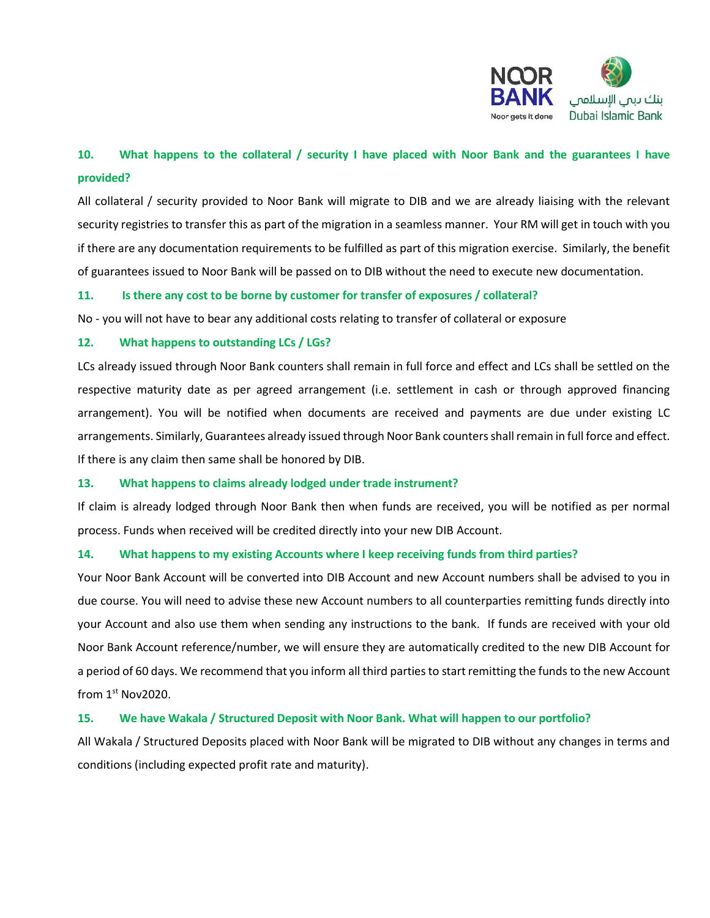

# **10. What happens to the collateral / security I have placed with Noor Bank and the guarantees I have provided?**

All collateral / security provided to Noor Bank will migrate to DIB and we are already liaising with the relevant security registries to transfer this as part of the migration in a seamless manner. Your RM will get in touch with you if there are any documentation requirements to be fulfilled as part of this migration exercise. Similarly, the benefit of guarantees issued to Noor Bank will be passed on to DIB without the need to execute new documentation.

## **11. Is there any cost to be borne by customer for transfer of exposures / collateral?**

No - you will not have to bear any additional costs relating to transfer of collateral or exposure

## **12. What happens to outstanding LCs / LGs?**

LCs already issued through Noor Bank counters shall remain in full force and effect and LCs shall be settled on the respective maturity date as per agreed arrangement (i.e. settlement in cash or through approved financing arrangement). You will be notified when documents are received and payments are due under existing LC arrangements. Similarly, Guarantees already issued through Noor Bank counters shall remain in full force and effect. If there is any claim then same shall be honored by DIB.

## **13. What happens to claims already lodged under trade instrument?**

If claim is already lodged through Noor Bank then when funds are received, you will be notified as per normal process. Funds when received will be credited directly into your new DIB Account.

## **14. What happens to my existing Accounts where I keep receiving funds from third parties?**

Your Noor Bank Account will be converted into DIB Account and new Account numbers shall be advised to you in due course. You will need to advise these new Account numbers to all counterparties remitting funds directly into your Account and also use them when sending any instructions to the bank. If funds are received with your old Noor Bank Account reference/number, we will ensure they are automatically credited to the new DIB Account for a period of 60 days. We recommend that you inform all third parties to start remitting the funds to the new Account from 1st Nov2020.

## **15. We have Wakala / Structured Deposit with Noor Bank. What will happen to our portfolio?**

All Wakala / Structured Deposits placed with Noor Bank will be migrated to DIB without any changes in terms and conditions (including expected profit rate and maturity).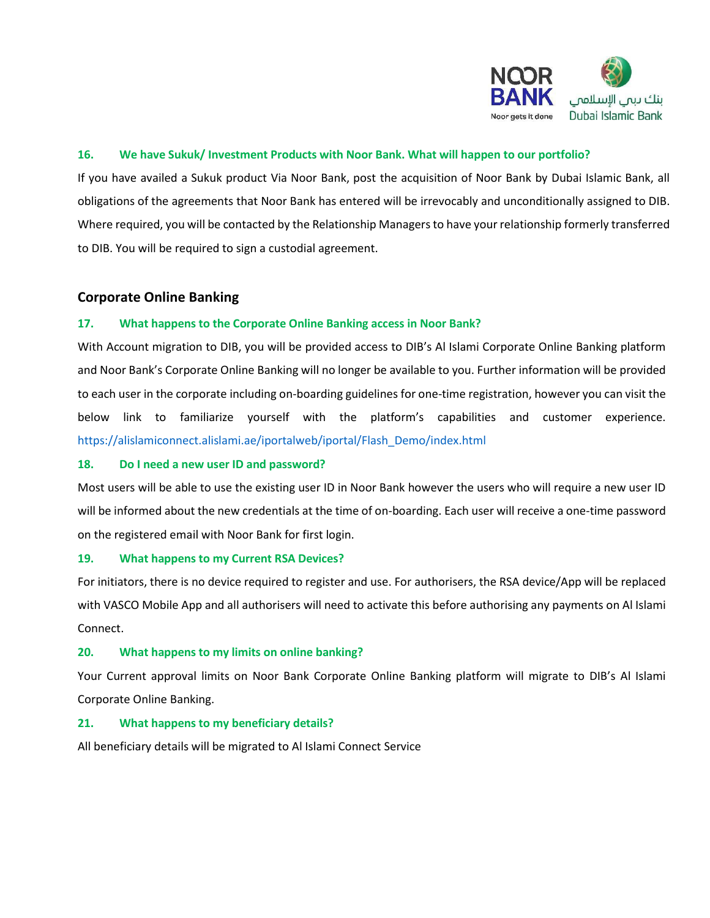

## **16. We have Sukuk/ Investment Products with Noor Bank. What will happen to our portfolio?**

If you have availed a Sukuk product Via Noor Bank, post the acquisition of Noor Bank by Dubai Islamic Bank, all obligations of the agreements that Noor Bank has entered will be irrevocably and unconditionally assigned to DIB. Where required, you will be contacted by the Relationship Managers to have your relationship formerly transferred to DIB. You will be required to sign a custodial agreement.

## **Corporate Online Banking**

## **17. What happens to the Corporate Online Banking access in Noor Bank?**

With Account migration to DIB, you will be provided access to DIB's Al Islami Corporate Online Banking platform and Noor Bank's Corporate Online Banking will no longer be available to you. Further information will be provided to each user in the corporate including on-boarding guidelines for one-time registration, however you can visit the below link to familiarize yourself with the platform's capabilities and customer experience. [https://alislamiconnect.alislami.ae/iportalweb/iportal/Flash\\_Demo/index.html](https://alislamiconnect.alislami.ae/iportalweb/iportal/Flash_Demo/index.html)

#### **18. Do I need a new user ID and password?**

Most users will be able to use the existing user ID in Noor Bank however the users who will require a new user ID will be informed about the new credentials at the time of on-boarding. Each user will receive a one-time password on the registered email with Noor Bank for first login.

## **19. What happens to my Current RSA Devices?**

For initiators, there is no device required to register and use. For authorisers, the RSA device/App will be replaced with VASCO Mobile App and all authorisers will need to activate this before authorising any payments on Al Islami Connect.

## **20. What happens to my limits on online banking?**

Your Current approval limits on Noor Bank Corporate Online Banking platform will migrate to DIB's Al Islami Corporate Online Banking.

## **21. What happens to my beneficiary details?**

All beneficiary details will be migrated to Al Islami Connect Service